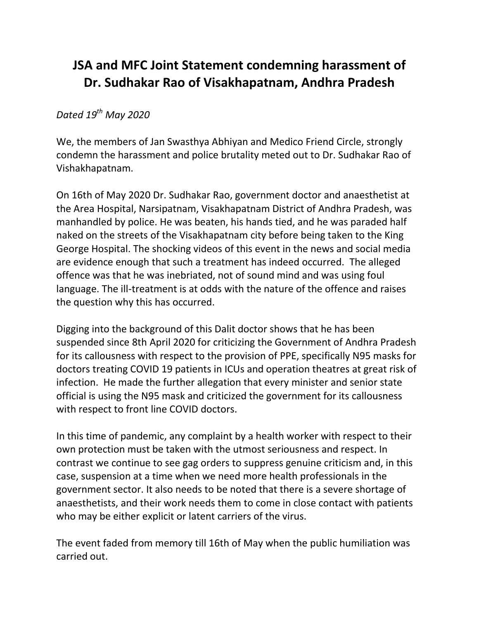## **JSA and MFC Joint Statement condemning harassment of Dr. Sudhakar Rao of Visakhapatnam, Andhra Pradesh**

## *Dated 19th May 2020*

We, the members of Jan Swasthya Abhiyan and Medico Friend Circle, strongly condemn the harassment and police brutality meted out to Dr. Sudhakar Rao of Vishakhapatnam.

On 16th of May 2020 Dr. Sudhakar Rao, government doctor and anaesthetist at the Area Hospital, Narsipatnam, Visakhapatnam District of Andhra Pradesh, was manhandled by police. He was beaten, his hands tied, and he was paraded half naked on the streets of the Visakhapatnam city before being taken to the King George Hospital. The shocking videos of this event in the news and social media are evidence enough that such a treatment has indeed occurred. The alleged offence was that he was inebriated, not of sound mind and was using foul language. The ill-treatment is at odds with the nature of the offence and raises the question why this has occurred.

Digging into the background of this Dalit doctor shows that he has been suspended since 8th April 2020 for criticizing the Government of Andhra Pradesh for its callousness with respect to the provision of PPE, specifically N95 masks for doctors treating COVID 19 patients in ICUs and operation theatres at great risk of infection. He made the further allegation that every minister and senior state official is using the N95 mask and criticized the government for its callousness with respect to front line COVID doctors.

In this time of pandemic, any complaint by a health worker with respect to their own protection must be taken with the utmost seriousness and respect. In contrast we continue to see gag orders to suppress genuine criticism and, in this case, suspension at a time when we need more health professionals in the government sector. It also needs to be noted that there is a severe shortage of anaesthetists, and their work needs them to come in close contact with patients who may be either explicit or latent carriers of the virus.

The event faded from memory till 16th of May when the public humiliation was carried out.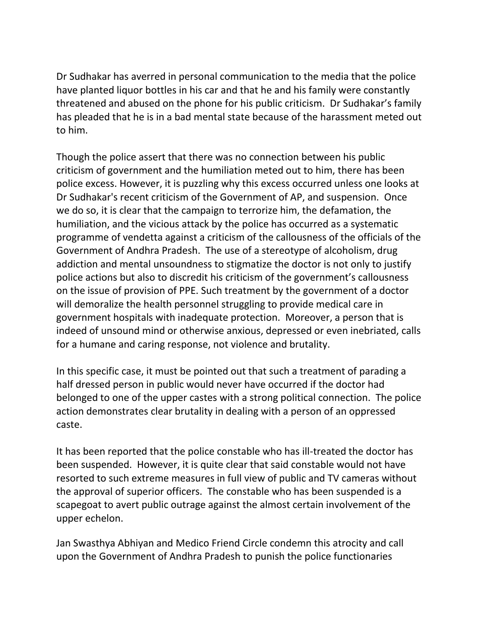Dr Sudhakar has averred in personal communication to the media that the police have planted liquor bottles in his car and that he and his family were constantly threatened and abused on the phone for his public criticism. Dr Sudhakar's family has pleaded that he is in a bad mental state because of the harassment meted out to him.

Though the police assert that there was no connection between his public criticism of government and the humiliation meted out to him, there has been police excess. However, it is puzzling why this excess occurred unless one looks at Dr Sudhakar's recent criticism of the Government of AP, and suspension. Once we do so, it is clear that the campaign to terrorize him, the defamation, the humiliation, and the vicious attack by the police has occurred as a systematic programme of vendetta against a criticism of the callousness of the officials of the Government of Andhra Pradesh. The use of a stereotype of alcoholism, drug addiction and mental unsoundness to stigmatize the doctor is not only to justify police actions but also to discredit his criticism of the government's callousness on the issue of provision of PPE. Such treatment by the government of a doctor will demoralize the health personnel struggling to provide medical care in government hospitals with inadequate protection. Moreover, a person that is indeed of unsound mind or otherwise anxious, depressed or even inebriated, calls for a humane and caring response, not violence and brutality.

In this specific case, it must be pointed out that such a treatment of parading a half dressed person in public would never have occurred if the doctor had belonged to one of the upper castes with a strong political connection. The police action demonstrates clear brutality in dealing with a person of an oppressed caste.

It has been reported that the police constable who has ill-treated the doctor has been suspended. However, it is quite clear that said constable would not have resorted to such extreme measures in full view of public and TV cameras without the approval of superior officers. The constable who has been suspended is a scapegoat to avert public outrage against the almost certain involvement of the upper echelon.

Jan Swasthya Abhiyan and Medico Friend Circle condemn this atrocity and call upon the Government of Andhra Pradesh to punish the police functionaries